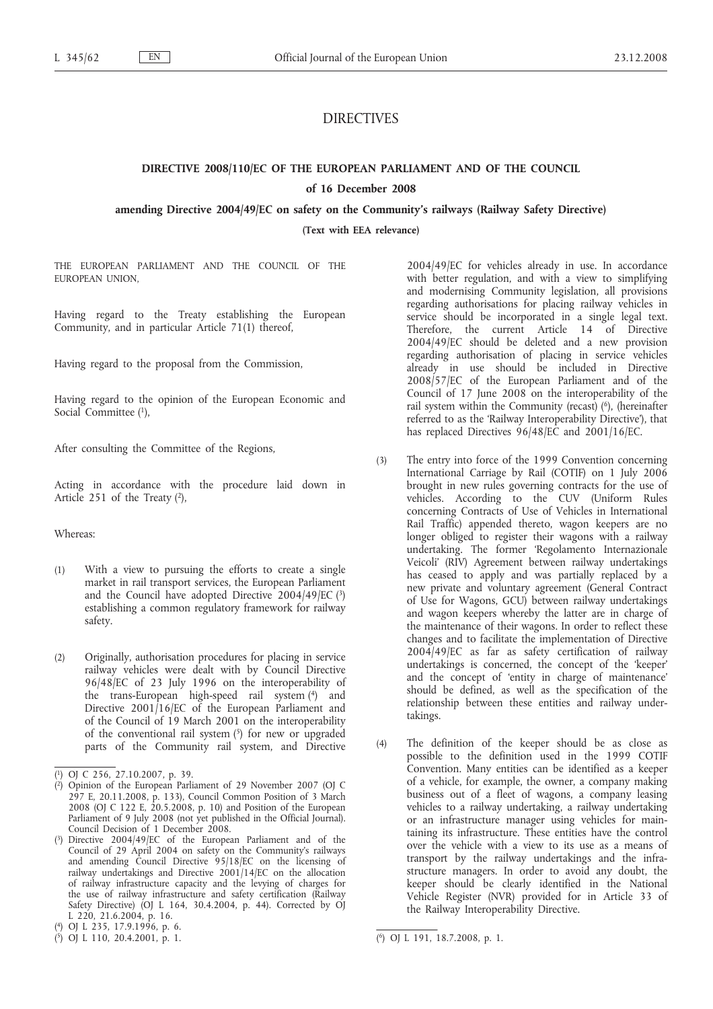# DIRECTIVES

### **DIRECTIVE 2008/110/EC OF THE EUROPEAN PARLIAMENT AND OF THE COUNCIL**

#### **of 16 December 2008**

#### **amending Directive 2004/49/EC on safety on the Community***'***s railways (Railway Safety Directive)**

**(Text with EEA relevance)**

THE EUROPEAN PARLIAMENT AND THE COUNCIL OF THE EUROPEAN UNION,

Having regard to the Treaty establishing the European Community, and in particular Article 71(1) thereof,

Having regard to the proposal from the Commission,

Having regard to the opinion of the European Economic and Social Committee (1),

After consulting the Committee of the Regions,

Acting in accordance with the procedure laid down in Article 251 of the Treaty (2),

Whereas:

- (1) With a view to pursuing the efforts to create a single market in rail transport services, the European Parliament and the Council have adopted Directive  $2004/49$ /EC (3) establishing a common regulatory framework for railway safety.
- (2) Originally, authorisation procedures for placing in service railway vehicles were dealt with by Council Directive 96/48/EC of 23 July 1996 on the interoperability of the trans-European high-speed rail system (4) and Directive 2001/16/EC of the European Parliament and of the Council of 19 March 2001 on the interoperability of the conventional rail system  $(5)$  for new or upgraded parts of the Community rail system, and Directive

2004/49/EC for vehicles already in use. In accordance with better regulation, and with a view to simplifying and modernising Community legislation, all provisions regarding authorisations for placing railway vehicles in service should be incorporated in a single legal text. Therefore, the current Article 14 of Directive 2004/49/EC should be deleted and a new provision regarding authorisation of placing in service vehicles already in use should be included in Directive 2008/57/EC of the European Parliament and of the Council of 17 June 2008 on the interoperability of the rail system within the Community (recast) (6), (hereinafter referred to as the 'Railway Interoperability Directive'), that has replaced Directives 96/48/EC and 2001/16/EC.

- (3) The entry into force of the 1999 Convention concerning International Carriage by Rail (COTIF) on 1 July 2006 brought in new rules governing contracts for the use of vehicles. According to the CUV (Uniform Rules concerning Contracts of Use of Vehicles in International Rail Traffic) appended thereto, wagon keepers are no longer obliged to register their wagons with a railway undertaking. The former 'Regolamento Internazionale Veicoli' (RIV) Agreement between railway undertakings has ceased to apply and was partially replaced by a new private and voluntary agreement (General Contract of Use for Wagons, GCU) between railway undertakings and wagon keepers whereby the latter are in charge of the maintenance of their wagons. In order to reflect these changes and to facilitate the implementation of Directive 2004/49/EC as far as safety certification of railway undertakings is concerned, the concept of the 'keeper' and the concept of 'entity in charge of maintenance' should be defined, as well as the specification of the relationship between these entities and railway undertakings.
- (4) The definition of the keeper should be as close as possible to the definition used in the 1999 COTIF Convention. Many entities can be identified as a keeper of a vehicle, for example, the owner, a company making business out of a fleet of wagons, a company leasing vehicles to a railway undertaking, a railway undertaking or an infrastructure manager using vehicles for maintaining its infrastructure. These entities have the control over the vehicle with a view to its use as a means of transport by the railway undertakings and the infrastructure managers. In order to avoid any doubt, the keeper should be clearly identified in the National Vehicle Register (NVR) provided for in Article 33 of the Railway Interoperability Directive.

<sup>(</sup> 1) OJ C 256, 27.10.2007, p. 39.

<sup>(</sup> 2) Opinion of the European Parliament of 29 November 2007 (OJ C 297 E, 20.11.2008, p. 133), Council Common Position of 3 March 2008 (OJ C 122 E, 20.5.2008, p. 10) and Position of the European Parliament of 9 July 2008 (not yet published in the Official Journal). Council Decision of 1 December 2008.

<sup>(</sup> 3) Directive 2004/49/EC of the European Parliament and of the Council of 29 April 2004 on safety on the Community's railways and amending Council Directive 95/18/EC on the licensing of railway undertakings and Directive 2001/14/EC on the allocation of railway infrastructure capacity and the levying of charges for the use of railway infrastructure and safety certification (Railway Safety Directive) (OJ L 164, 30.4.2004, p. 44). Corrected by OJ L 220, 21.6.2004, p. 16.

<sup>(</sup> 4) OJ L 235, 17.9.1996, p. 6.

<sup>(</sup> 5) OJ L 110, 20.4.2001, p. 1. (

<sup>6)</sup> OJ L 191, 18.7.2008, p. 1.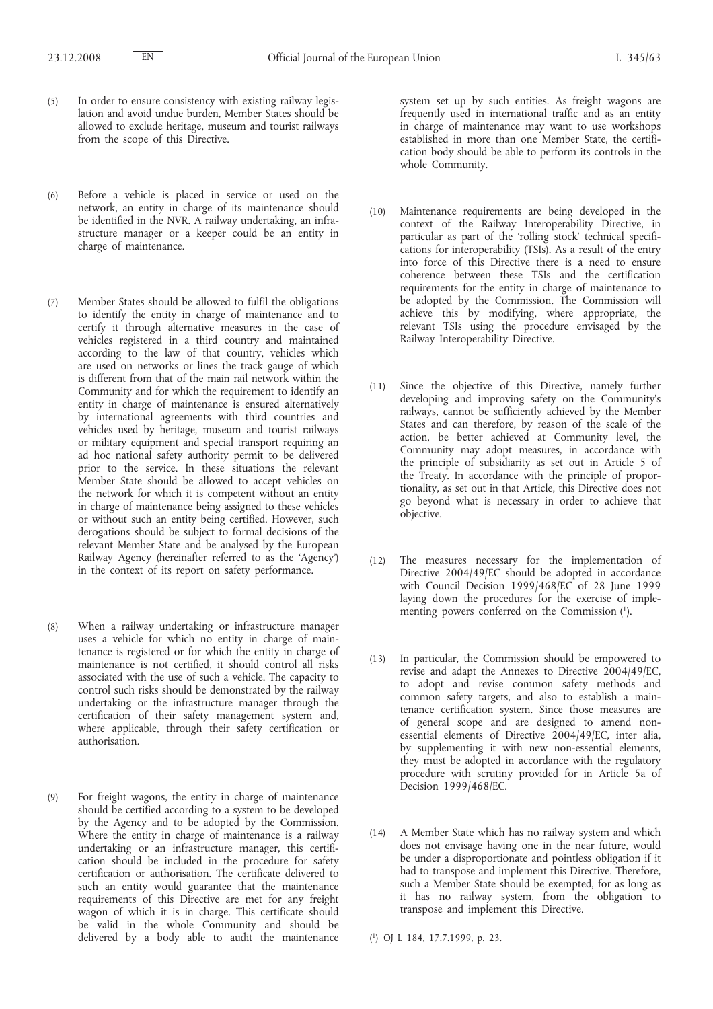- (5) In order to ensure consistency with existing railway legislation and avoid undue burden, Member States should be allowed to exclude heritage, museum and tourist railways from the scope of this Directive.
- (6) Before a vehicle is placed in service or used on the network, an entity in charge of its maintenance should be identified in the NVR. A railway undertaking, an infrastructure manager or a keeper could be an entity in charge of maintenance.
- (7) Member States should be allowed to fulfil the obligations to identify the entity in charge of maintenance and to certify it through alternative measures in the case of vehicles registered in a third country and maintained according to the law of that country, vehicles which are used on networks or lines the track gauge of which is different from that of the main rail network within the Community and for which the requirement to identify an entity in charge of maintenance is ensured alternatively by international agreements with third countries and vehicles used by heritage, museum and tourist railways or military equipment and special transport requiring an ad hoc national safety authority permit to be delivered prior to the service. In these situations the relevant Member State should be allowed to accept vehicles on the network for which it is competent without an entity in charge of maintenance being assigned to these vehicles or without such an entity being certified. However, such derogations should be subject to formal decisions of the relevant Member State and be analysed by the European Railway Agency (hereinafter referred to as the 'Agency') in the context of its report on safety performance.
- (8) When a railway undertaking or infrastructure manager uses a vehicle for which no entity in charge of maintenance is registered or for which the entity in charge of maintenance is not certified, it should control all risks associated with the use of such a vehicle. The capacity to control such risks should be demonstrated by the railway undertaking or the infrastructure manager through the certification of their safety management system and, where applicable, through their safety certification or authorisation.
- (9) For freight wagons, the entity in charge of maintenance should be certified according to a system to be developed by the Agency and to be adopted by the Commission. Where the entity in charge of maintenance is a railway undertaking or an infrastructure manager, this certification should be included in the procedure for safety certification or authorisation. The certificate delivered to such an entity would guarantee that the maintenance requirements of this Directive are met for any freight wagon of which it is in charge. This certificate should be valid in the whole Community and should be delivered by a body able to audit the maintenance

system set up by such entities. As freight wagons are frequently used in international traffic and as an entity in charge of maintenance may want to use workshops established in more than one Member State, the certification body should be able to perform its controls in the whole Community.

- (10) Maintenance requirements are being developed in the context of the Railway Interoperability Directive, in particular as part of the 'rolling stock' technical specifications for interoperability (TSIs). As a result of the entry into force of this Directive there is a need to ensure coherence between these TSIs and the certification requirements for the entity in charge of maintenance to be adopted by the Commission. The Commission will achieve this by modifying, where appropriate, the relevant TSIs using the procedure envisaged by the Railway Interoperability Directive.
- (11) Since the objective of this Directive, namely further developing and improving safety on the Community's railways, cannot be sufficiently achieved by the Member States and can therefore, by reason of the scale of the action, be better achieved at Community level, the Community may adopt measures, in accordance with the principle of subsidiarity as set out in Article 5 of the Treaty. In accordance with the principle of proportionality, as set out in that Article, this Directive does not go beyond what is necessary in order to achieve that objective.
- (12) The measures necessary for the implementation of Directive 2004/49/EC should be adopted in accordance with Council Decision 1999/468/EC of 28 June 1999 laying down the procedures for the exercise of implementing powers conferred on the Commission (1).
- (13) In particular, the Commission should be empowered to revise and adapt the Annexes to Directive 2004/49/EC, to adopt and revise common safety methods and common safety targets, and also to establish a maintenance certification system. Since those measures are of general scope and are designed to amend nonessential elements of Directive 2004/49/EC, inter alia, by supplementing it with new non-essential elements, they must be adopted in accordance with the regulatory procedure with scrutiny provided for in Article 5a of Decision 1999/468/EC.
- (14) A Member State which has no railway system and which does not envisage having one in the near future, would be under a disproportionate and pointless obligation if it had to transpose and implement this Directive. Therefore, such a Member State should be exempted, for as long as it has no railway system, from the obligation to transpose and implement this Directive.

<sup>(</sup> 1) OJ L 184, 17.7.1999, p. 23.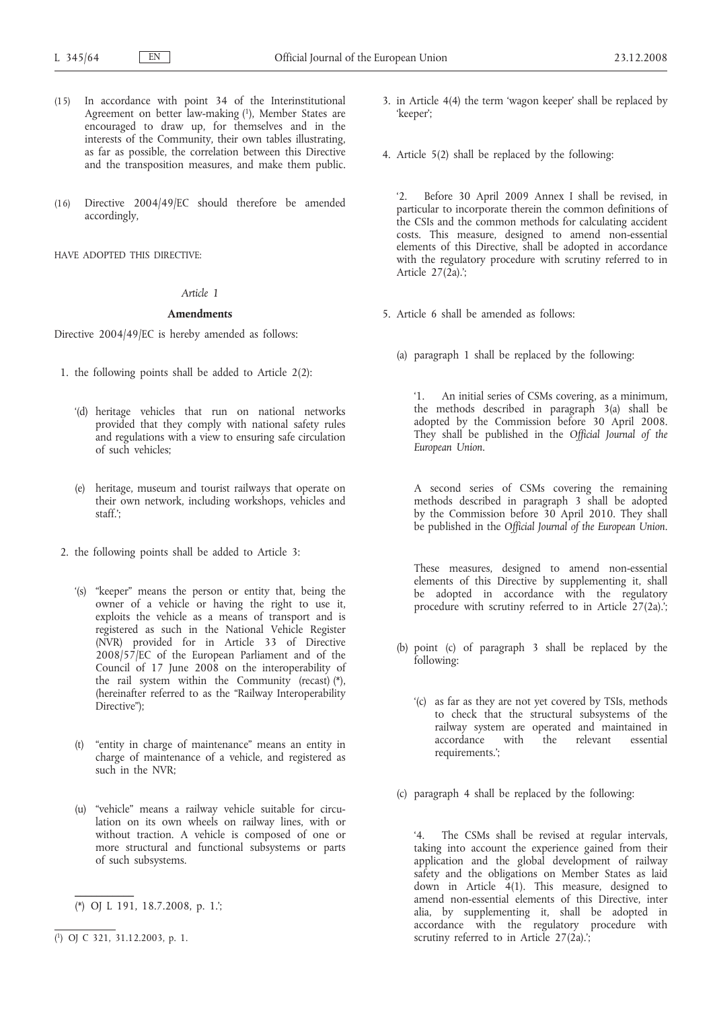- (15) In accordance with point 34 of the Interinstitutional Agreement on better law-making (1), Member States are encouraged to draw up, for themselves and in the interests of the Community, their own tables illustrating, as far as possible, the correlation between this Directive and the transposition measures, and make them public.
- (16) Directive 2004/49/EC should therefore be amended accordingly,

HAVE ADOPTED THIS DIRECTIVE:

# *Article 1*

## **Amendments**

Directive 2004/49/EC is hereby amended as follows:

- 1. the following points shall be added to Article 2(2):
	- '(d) heritage vehicles that run on national networks provided that they comply with national safety rules and regulations with a view to ensuring safe circulation of such vehicles;
	- (e) heritage, museum and tourist railways that operate on their own network, including workshops, vehicles and staff.';
- 2. the following points shall be added to Article 3:
	- '(s) "keeper" means the person or entity that, being the owner of a vehicle or having the right to use it, exploits the vehicle as a means of transport and is registered as such in the National Vehicle Register (NVR) provided for in Article 33 of Directive 2008/57/EC of the European Parliament and of the Council of 17 June 2008 on the interoperability of the rail system within the Community (recast) (\*), (hereinafter referred to as the "Railway Interoperability Directive");
	- (t) "entity in charge of maintenance" means an entity in charge of maintenance of a vehicle, and registered as such in the NVR;
	- (u) "vehicle" means a railway vehicle suitable for circulation on its own wheels on railway lines, with or without traction. A vehicle is composed of one or more structural and functional subsystems or parts of such subsystems.
	- (\*) OJ L 191, 18.7.2008, p. 1.';

**\_\_\_\_\_\_\_\_\_\_\_**

- 3. in Article 4(4) the term 'wagon keeper' shall be replaced by 'keeper';
- 4. Article 5(2) shall be replaced by the following:

'2. Before 30 April 2009 Annex I shall be revised, in particular to incorporate therein the common definitions of the CSIs and the common methods for calculating accident costs. This measure, designed to amend non-essential elements of this Directive, shall be adopted in accordance with the regulatory procedure with scrutiny referred to in Article  $27(\tilde{2}a)$ .';

- 5. Article 6 shall be amended as follows:
	- (a) paragraph 1 shall be replaced by the following:

'1. An initial series of CSMs covering, as a minimum, the methods described in paragraph 3(a) shall be adopted by the Commission before 30 April 2008. They shall be published in the *Official Journal of the European Union*.

A second series of CSMs covering the remaining methods described in paragraph 3 shall be adopted by the Commission before 30 April 2010. They shall be published in the *Official Journal of the European Union*.

These measures, designed to amend non-essential elements of this Directive by supplementing it, shall be adopted in accordance with the regulatory procedure with scrutiny referred to in Article 27(2a).';

- (b) point (c) of paragraph 3 shall be replaced by the following:
	- '(c) as far as they are not yet covered by TSIs, methods to check that the structural subsystems of the railway system are operated and maintained in accordance with the relevant essential with the relevant essential requirements.';
- (c) paragraph 4 shall be replaced by the following:

'4. The CSMs shall be revised at regular intervals, taking into account the experience gained from their application and the global development of railway safety and the obligations on Member States as laid down in Article 4(1). This measure, designed to amend non-essential elements of this Directive, inter alia, by supplementing it, shall be adopted in accordance with the regulatory procedure with scrutiny referred to in Article  $27(2a)$ .

<sup>(</sup> 1) OJ C 321, 31.12.2003, p. 1.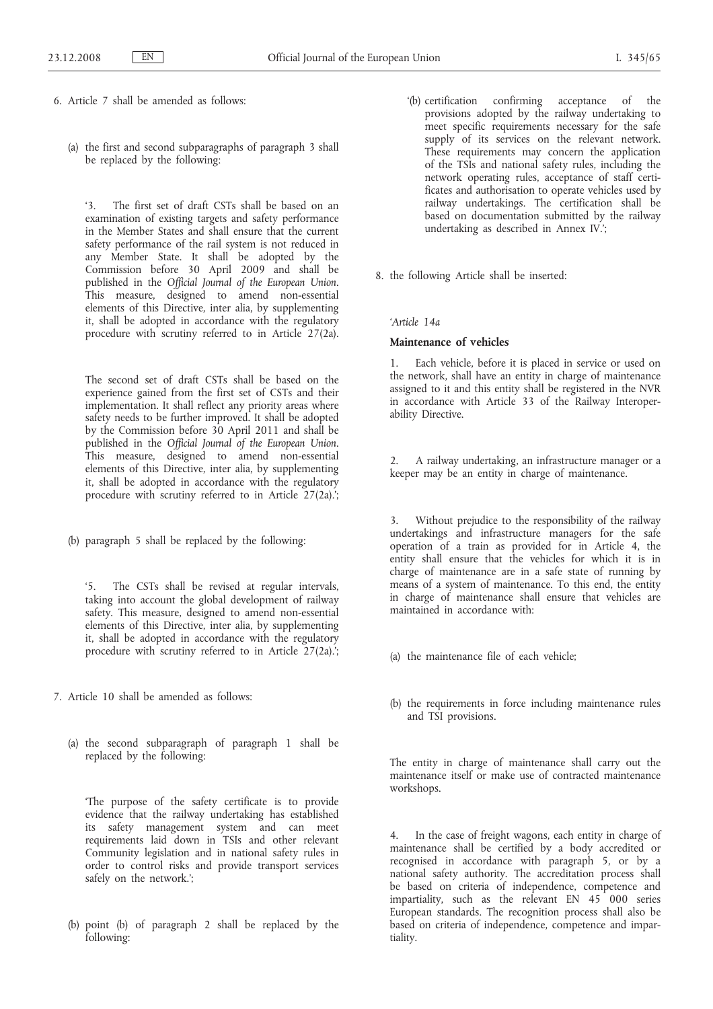6. Article 7 shall be amended as follows:

(a) the first and second subparagraphs of paragraph 3 shall be replaced by the following:

'3. The first set of draft CSTs shall be based on an examination of existing targets and safety performance in the Member States and shall ensure that the current safety performance of the rail system is not reduced in any Member State. It shall be adopted by the Commission before 30 April 2009 and shall be published in the *Official Journal of the European Union*. This measure, designed to amend non-essential elements of this Directive, inter alia, by supplementing it, shall be adopted in accordance with the regulatory procedure with scrutiny referred to in Article 27(2a).

The second set of draft CSTs shall be based on the experience gained from the first set of CSTs and their implementation. It shall reflect any priority areas where safety needs to be further improved. It shall be adopted by the Commission before 30 April 2011 and shall be published in the *Official Journal of the European Union*. This measure, designed to amend non-essential elements of this Directive, inter alia, by supplementing it, shall be adopted in accordance with the regulatory procedure with scrutiny referred to in Article 27(2a).';

(b) paragraph 5 shall be replaced by the following:

'5. The CSTs shall be revised at regular intervals, taking into account the global development of railway safety. This measure, designed to amend non-essential elements of this Directive, inter alia, by supplementing it, shall be adopted in accordance with the regulatory procedure with scrutiny referred to in Article 27(2a).;

- 7. Article 10 shall be amended as follows:
	- (a) the second subparagraph of paragraph 1 shall be replaced by the following:

'The purpose of the safety certificate is to provide evidence that the railway undertaking has established its safety management system and can meet requirements laid down in TSIs and other relevant Community legislation and in national safety rules in order to control risks and provide transport services safely on the network.';

(b) point (b) of paragraph 2 shall be replaced by the following:

- '(b) certification confirming acceptance of the provisions adopted by the railway undertaking to meet specific requirements necessary for the safe supply of its services on the relevant network. These requirements may concern the application of the TSIs and national safety rules, including the network operating rules, acceptance of staff certificates and authorisation to operate vehicles used by railway undertakings. The certification shall be based on documentation submitted by the railway undertaking as described in Annex IV.';
- 8. the following Article shall be inserted:

# *'Article 14a*

# **Maintenance of vehicles**

1. Each vehicle, before it is placed in service or used on the network, shall have an entity in charge of maintenance assigned to it and this entity shall be registered in the NVR in accordance with Article 33 of the Railway Interoperability Directive.

2. A railway undertaking, an infrastructure manager or a keeper may be an entity in charge of maintenance.

3. Without prejudice to the responsibility of the railway undertakings and infrastructure managers for the safe operation of a train as provided for in Article 4, the entity shall ensure that the vehicles for which it is in charge of maintenance are in a safe state of running by means of a system of maintenance. To this end, the entity in charge of maintenance shall ensure that vehicles are maintained in accordance with:

- (a) the maintenance file of each vehicle;
- (b) the requirements in force including maintenance rules and TSI provisions.

The entity in charge of maintenance shall carry out the maintenance itself or make use of contracted maintenance workshops.

4. In the case of freight wagons, each entity in charge of maintenance shall be certified by a body accredited or recognised in accordance with paragraph 5, or by a national safety authority. The accreditation process shall be based on criteria of independence, competence and impartiality, such as the relevant EN 45 000 series European standards. The recognition process shall also be based on criteria of independence, competence and impartiality.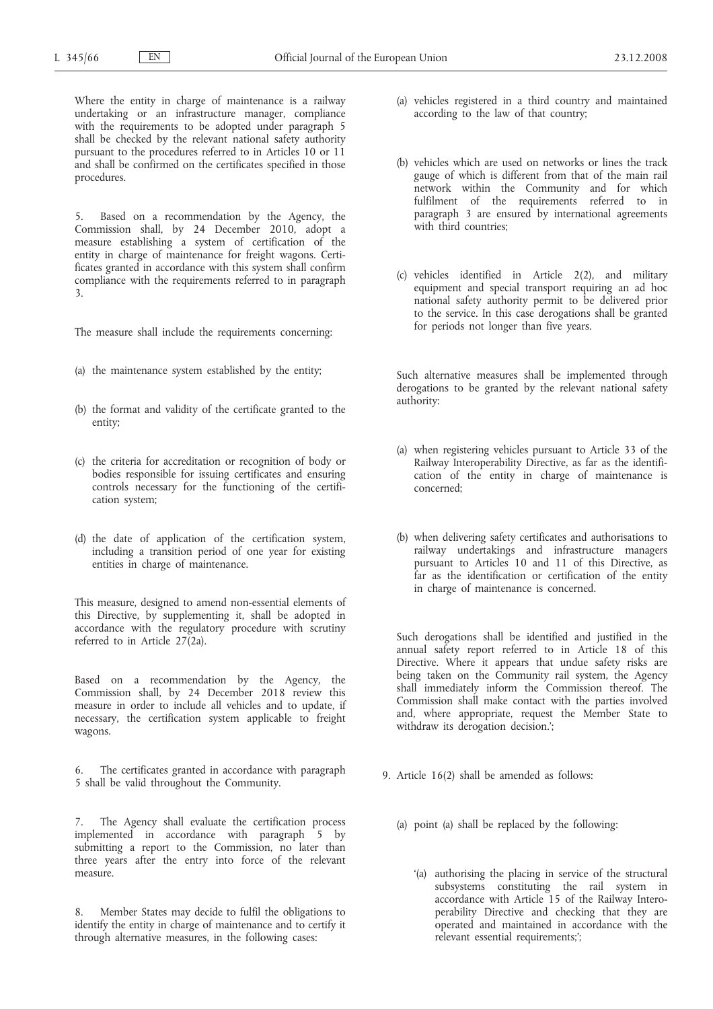Where the entity in charge of maintenance is a railway undertaking or an infrastructure manager, compliance with the requirements to be adopted under paragraph 5 shall be checked by the relevant national safety authority pursuant to the procedures referred to in Articles 10 or 11 and shall be confirmed on the certificates specified in those procedures.

5. Based on a recommendation by the Agency, the Commission shall, by 24 December 2010, adopt a measure establishing a system of certification of the entity in charge of maintenance for freight wagons. Certificates granted in accordance with this system shall confirm compliance with the requirements referred to in paragraph 3.

The measure shall include the requirements concerning:

- (a) the maintenance system established by the entity;
- (b) the format and validity of the certificate granted to the entity;
- (c) the criteria for accreditation or recognition of body or bodies responsible for issuing certificates and ensuring controls necessary for the functioning of the certification system;
- (d) the date of application of the certification system, including a transition period of one year for existing entities in charge of maintenance.

This measure, designed to amend non-essential elements of this Directive, by supplementing it, shall be adopted in accordance with the regulatory procedure with scrutiny referred to in Article 27(2a).

Based on a recommendation by the Agency, the Commission shall, by 24 December 2018 review this measure in order to include all vehicles and to update, if necessary, the certification system applicable to freight wagons.

6. The certificates granted in accordance with paragraph 5 shall be valid throughout the Community.

7. The Agency shall evaluate the certification process implemented in accordance with paragraph 5 by submitting a report to the Commission, no later than three years after the entry into force of the relevant measure.

8. Member States may decide to fulfil the obligations to identify the entity in charge of maintenance and to certify it through alternative measures, in the following cases:

- (a) vehicles registered in a third country and maintained according to the law of that country;
- (b) vehicles which are used on networks or lines the track gauge of which is different from that of the main rail network within the Community and for which fulfilment of the requirements referred to in paragraph 3 are ensured by international agreements with third countries:
- (c) vehicles identified in Article 2(2), and military equipment and special transport requiring an ad hoc national safety authority permit to be delivered prior to the service. In this case derogations shall be granted for periods not longer than five years.

Such alternative measures shall be implemented through derogations to be granted by the relevant national safety authority:

- (a) when registering vehicles pursuant to Article 33 of the Railway Interoperability Directive, as far as the identification of the entity in charge of maintenance is concerned;
- (b) when delivering safety certificates and authorisations to railway undertakings and infrastructure managers pursuant to Articles 10 and 11 of this Directive, as far as the identification or certification of the entity in charge of maintenance is concerned.

Such derogations shall be identified and justified in the annual safety report referred to in Article 18 of this Directive. Where it appears that undue safety risks are being taken on the Community rail system, the Agency shall immediately inform the Commission thereof. The Commission shall make contact with the parties involved and, where appropriate, request the Member State to withdraw its derogation decision.';

- 9. Article 16(2) shall be amended as follows:
	- (a) point (a) shall be replaced by the following:
		- '(a) authorising the placing in service of the structural subsystems constituting the rail system in accordance with Article 15 of the Railway Interoperability Directive and checking that they are operated and maintained in accordance with the relevant essential requirements;';